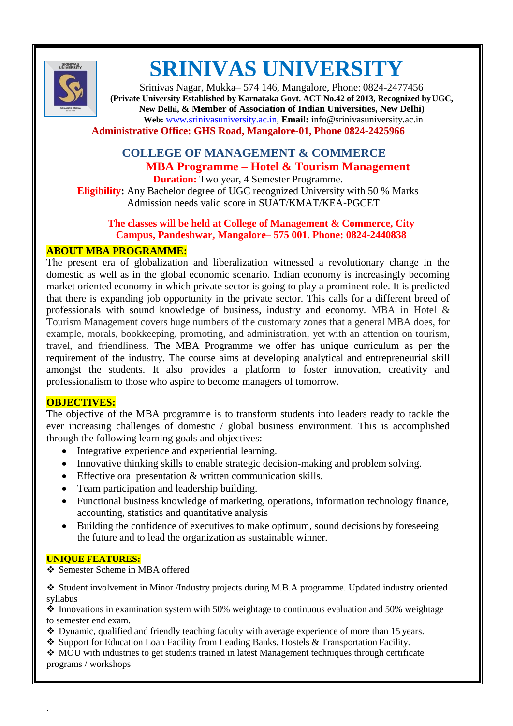

# **SRINIVAS UNIVERSITY**

Srinivas Nagar, Mukka– 574 146, Mangalore, Phone: 0824-2477456 **(Private University Established by Karnataka Govt. ACT No.42 of 2013, Recognized byUGC, New Delhi, & Member of Association of Indian Universities, New Delhi) Web:** [www.srinivasuniversity.ac.in,](http://www.srinivasuniversity.ac.in/) **Email:** [info@srinivasuniversity.ac.in](mailto:info@srinivasuniversity.ac.in) **Administrative Office: GHS Road, Mangalore-01, Phone 0824-2425966**

# **COLLEGE OF MANAGEMENT & COMMERCE MBA Programme – Hotel & Tourism Management**

**Duration:** Two year, 4 Semester Programme. **Eligibility:** Any Bachelor degree of UGC recognized University with 50 % Marks Admission needs valid score in SUAT/KMAT/KEA-PGCET

### **The classes will be held at College of Management & Commerce, City Campus, Pandeshwar, Mangalore– 575 001. Phone: 0824-2440838**

#### **ABOUT MBA PROGRAMME:**

The present era of globalization and liberalization witnessed a revolutionary change in the domestic as well as in the global economic scenario. Indian economy is increasingly becoming market oriented economy in which private sector is going to play a prominent role. It is predicted that there is expanding job opportunity in the private sector. This calls for a different breed of professionals with sound knowledge of business, industry and economy. MBA in Hotel & Tourism Management covers huge numbers of the customary zones that a general MBA does, for example, morals, bookkeeping, promoting, and administration, yet with an attention on tourism, travel, and friendliness. The MBA Programme we offer has unique curriculum as per the requirement of the industry. The course aims at developing analytical and entrepreneurial skill amongst the students. It also provides a platform to foster innovation, creativity and professionalism to those who aspire to become managers of tomorrow.

#### **OBJECTIVES:**

The objective of the MBA programme is to transform students into leaders ready to tackle the ever increasing challenges of domestic / global business environment. This is accomplished through the following learning goals and objectives:

- Integrative experience and experiential learning.
- Innovative thinking skills to enable strategic decision-making and problem solving.
- Effective oral presentation & written communication skills.
- Team participation and leadership building.
- Functional business knowledge of marketing, operations, information technology finance, accounting, statistics and quantitative analysis
- Building the confidence of executives to make optimum, sound decisions by foreseeing the future and to lead the organization as sustainable winner.

#### **UNIQUE FEATURES:**

.

Semester Scheme in MBA offered

 Student involvement in Minor /Industry projects during M.B.A programme. Updated industry oriented syllabus

 $\cdot$  Innovations in examination system with 50% weightage to continuous evaluation and 50% weightage to semester end exam.

- $\bullet$  Dynamic, qualified and friendly teaching faculty with average experience of more than 15 years.
- Support for Education Loan Facility from Leading Banks. Hostels & Transportation Facility.

◆ MOU with industries to get students trained in latest Management techniques through certificate programs / workshops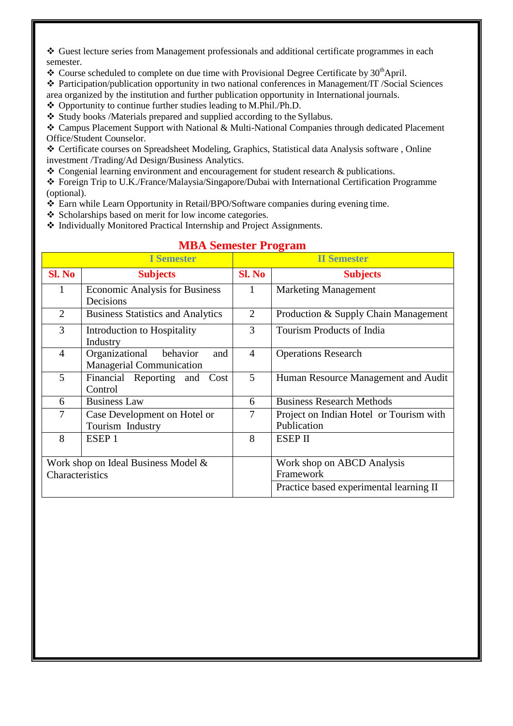Guest lecture series from Management professionals and additional certificate programmes in each semester.

 $\cdot$  Course scheduled to complete on due time with Provisional Degree Certificate by 30<sup>th</sup>April.

 Participation/publication opportunity in two national conferences in Management/IT /Social Sciences area organized by the institution and further publication opportunity in International journals.

Opportunity to continue further studies leading to M.Phil./Ph.D.

\* Study books /Materials prepared and supplied according to the Syllabus.

 Campus Placement Support with National & Multi-National Companies through dedicated Placement Office/Student Counselor.

 Certificate courses on Spreadsheet Modeling, Graphics, Statistical data Analysis software , Online investment /Trading/Ad Design/Business Analytics.

 $\div$  Congenial learning environment and encouragement for student research & publications.

 Foreign Trip to U.K./France/Malaysia/Singapore/Dubai with International Certification Programme (optional).

- Earn while Learn Opportunity in Retail/BPO/Software companies during evening time.
- ❖ Scholarships based on merit for low income categories.
- $\triangleq$  Individually Monitored Practical Internship and Project Assignments.

|                                     | <b>I</b> Semester                                                    |                | <b>II</b> Semester                                     |
|-------------------------------------|----------------------------------------------------------------------|----------------|--------------------------------------------------------|
| Sl. No                              | <b>Subjects</b>                                                      | Sl. No         | <b>Subjects</b>                                        |
| $\mathbf{1}$                        | <b>Economic Analysis for Business</b><br>Decisions                   | 1              | <b>Marketing Management</b>                            |
| 2                                   | <b>Business Statistics and Analytics</b>                             | 2              | Production & Supply Chain Management                   |
| 3                                   | Introduction to Hospitality<br>Industry                              | 3              | Tourism Products of India                              |
| $\overline{4}$                      | Organizational<br>behavior<br>and<br><b>Managerial Communication</b> | $\overline{4}$ | <b>Operations Research</b>                             |
| 5                                   | Financial Reporting and Cost<br>Control                              | $\mathfrak{H}$ | Human Resource Management and Audit                    |
| 6                                   | <b>Business Law</b>                                                  | 6              | <b>Business Research Methods</b>                       |
| 7                                   | Case Development on Hotel or<br>Tourism Industry                     | 7              | Project on Indian Hotel or Tourism with<br>Publication |
| 8                                   | ESEP <sub>1</sub>                                                    | 8              | <b>ESEP II</b>                                         |
| Work shop on Ideal Business Model & |                                                                      |                | Work shop on ABCD Analysis                             |
| Characteristics                     |                                                                      |                | Framework                                              |
|                                     |                                                                      |                | Practice based experimental learning II                |

## **MBA Semester Program**